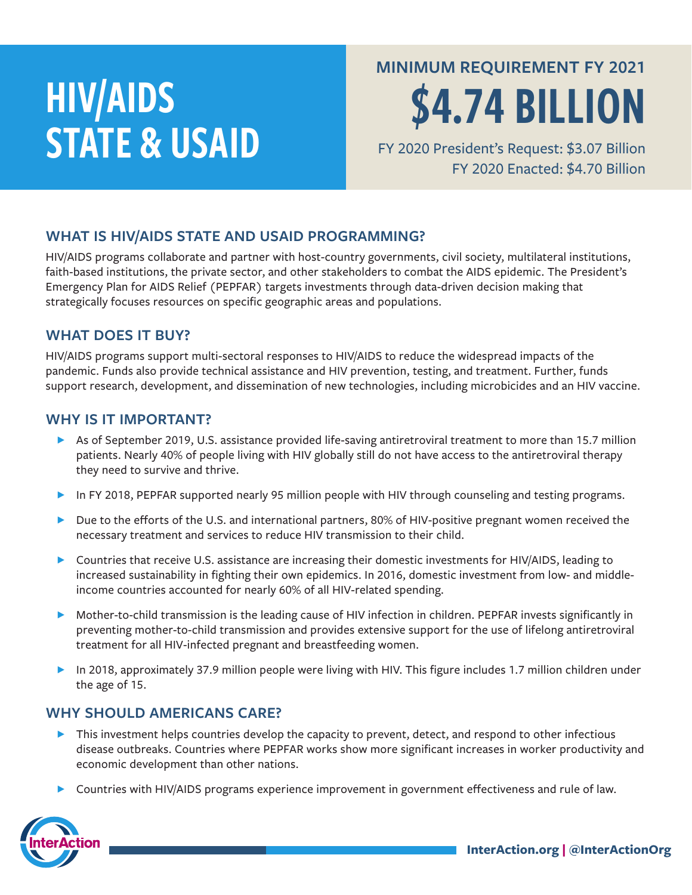# HIV/AIDS STATE & USAID

**MINIMUM REQUIREMENT FY 2021**

\$4.74 BILLION

FY 2020 President's Request: \$3.07 Billion FY 2020 Enacted: \$4.70 Billion

### **WHAT IS HIV/AIDS STATE AND USAID PROGRAMMING?**

HIV/AIDS programs collaborate and partner with host-country governments, civil society, multilateral institutions, faith-based institutions, the private sector, and other stakeholders to combat the AIDS epidemic. The President's Emergency Plan for AIDS Relief (PEPFAR) targets investments through data-driven decision making that strategically focuses resources on specific geographic areas and populations.

#### **WHAT DOES IT BUY?**

HIV/AIDS programs support multi-sectoral responses to HIV/AIDS to reduce the widespread impacts of the pandemic. Funds also provide technical assistance and HIV prevention, testing, and treatment. Further, funds support research, development, and dissemination of new technologies, including microbicides and an HIV vaccine.

#### **WHY IS IT IMPORTANT?**

- ▶ As of September 2019, U.S. assistance provided life-saving antiretroviral treatment to more than 15.7 million patients. Nearly 40% of people living with HIV globally still do not have access to the antiretroviral therapy they need to survive and thrive.
- In FY 2018, PEPFAR supported nearly 95 million people with HIV through counseling and testing programs.
- ▶ Due to the efforts of the U.S. and international partners, 80% of HIV-positive pregnant women received the necessary treatment and services to reduce HIV transmission to their child.
- ▶ Countries that receive U.S. assistance are increasing their domestic investments for HIV/AIDS, leading to increased sustainability in fighting their own epidemics. In 2016, domestic investment from low- and middleincome countries accounted for nearly 60% of all HIV-related spending.
- ɖ Mother-to-child transmission is the leading cause of HIV infection in children. PEPFAR invests significantly in preventing mother-to-child transmission and provides extensive support for the use of lifelong antiretroviral treatment for all HIV-infected pregnant and breastfeeding women.
- ▶ In 2018, approximately 37.9 million people were living with HIV. This figure includes 1.7 million children under the age of 15.

#### **WHY SHOULD AMERICANS CARE?**

- $\blacktriangleright$  This investment helps countries develop the capacity to prevent, detect, and respond to other infectious disease outbreaks. Countries where PEPFAR works show more significant increases in worker productivity and economic development than other nations.
- ▶ Countries with HIV/AIDS programs experience improvement in government effectiveness and rule of law.